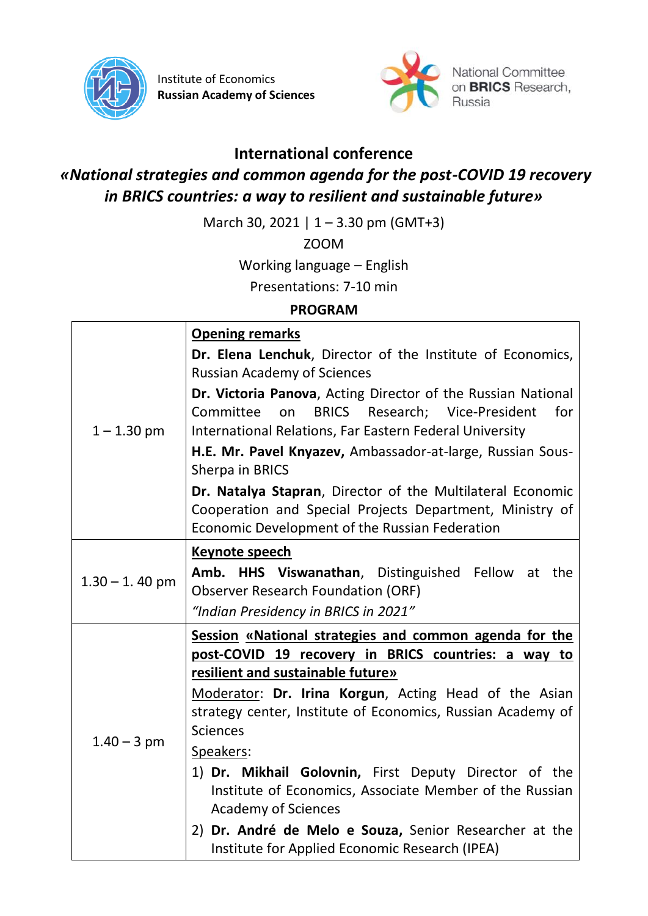



## **International conference**

# *«National strategies and common agenda for the post-COVID 19 recovery in BRICS countries: a way to resilient and sustainable future»*

March 30, 2021 | 1 – 3.30 pm (GMT+3)

ZOOM

Working language – English

Presentations: 7-10 min

#### **PROGRAM**

| $1 - 1.30$ pm    | <b>Opening remarks</b>                                                        |
|------------------|-------------------------------------------------------------------------------|
|                  | Dr. Elena Lenchuk, Director of the Institute of Economics,                    |
|                  | <b>Russian Academy of Sciences</b>                                            |
|                  | Dr. Victoria Panova, Acting Director of the Russian National                  |
|                  | BRICS Research; Vice-President<br>Committee<br>for<br>on                      |
|                  | International Relations, Far Eastern Federal University                       |
|                  | H.E. Mr. Pavel Knyazev, Ambassador-at-large, Russian Sous-<br>Sherpa in BRICS |
|                  | Dr. Natalya Stapran, Director of the Multilateral Economic                    |
|                  | Cooperation and Special Projects Department, Ministry of                      |
|                  | Economic Development of the Russian Federation                                |
| $1.30 - 1.40$ pm | Keynote speech                                                                |
|                  | Amb. HHS Viswanathan, Distinguished Fellow at the                             |
|                  | <b>Observer Research Foundation (ORF)</b>                                     |
|                  | "Indian Presidency in BRICS in 2021"                                          |
| $1.40 - 3$ pm    | Session «National strategies and common agenda for the                        |
|                  | post-COVID 19 recovery in BRICS countries: a way to                           |
|                  | resilient and sustainable future»                                             |
|                  | Moderator: Dr. Irina Korgun, Acting Head of the Asian                         |
|                  | strategy center, Institute of Economics, Russian Academy of                   |
|                  | <b>Sciences</b>                                                               |
|                  | Speakers:                                                                     |
|                  | 1) Dr. Mikhail Golovnin, First Deputy Director of the                         |
|                  | Institute of Economics, Associate Member of the Russian                       |
|                  | <b>Academy of Sciences</b>                                                    |
|                  | 2) Dr. André de Melo e Souza, Senior Researcher at the                        |
|                  | Institute for Applied Economic Research (IPEA)                                |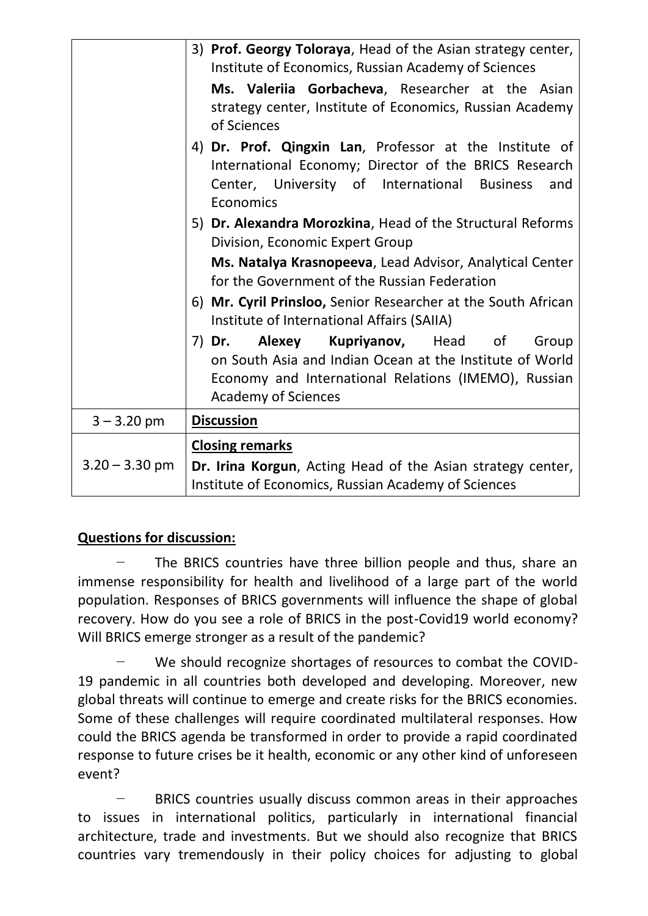|                  | 3) Prof. Georgy Toloraya, Head of the Asian strategy center,<br>Institute of Economics, Russian Academy of Sciences<br>Ms. Valeriia Gorbacheva, Researcher at the Asian<br>strategy center, Institute of Economics, Russian Academy<br>of Sciences |
|------------------|----------------------------------------------------------------------------------------------------------------------------------------------------------------------------------------------------------------------------------------------------|
|                  | 4) Dr. Prof. Qingxin Lan, Professor at the Institute of<br>International Economy; Director of the BRICS Research<br>Center, University of International Business<br>and<br>Economics                                                               |
|                  | 5) Dr. Alexandra Morozkina, Head of the Structural Reforms<br>Division, Economic Expert Group                                                                                                                                                      |
|                  | Ms. Natalya Krasnopeeva, Lead Advisor, Analytical Center<br>for the Government of the Russian Federation                                                                                                                                           |
|                  | 6) Mr. Cyril Prinsloo, Senior Researcher at the South African<br>Institute of International Affairs (SAIIA)                                                                                                                                        |
|                  | 7) Dr. Alexey<br><b>Kupriyanov,</b> Head of<br>Group<br>on South Asia and Indian Ocean at the Institute of World<br>Economy and International Relations (IMEMO), Russian<br><b>Academy of Sciences</b>                                             |
| $3 - 3.20$ pm    | <b>Discussion</b>                                                                                                                                                                                                                                  |
| $3.20 - 3.30$ pm | <b>Closing remarks</b><br>Dr. Irina Korgun, Acting Head of the Asian strategy center,<br>Institute of Economics, Russian Academy of Sciences                                                                                                       |

### **Questions for discussion:**

The BRICS countries have three billion people and thus, share an immense responsibility for health and livelihood of a large part of the world population. Responses of BRICS governments will influence the shape of global recovery. How do you see a role of BRICS in the post-Covid19 world economy? Will BRICS emerge stronger as a result of the pandemic?

− We should recognize shortages of resources to combat the COVID-19 pandemic in all countries both developed and developing. Moreover, new global threats will continue to emerge and create risks for the BRICS economies. Some of these challenges will require coordinated multilateral responses. How could the BRICS agenda be transformed in order to provide a rapid coordinated response to future crises be it health, economic or any other kind of unforeseen event?

BRICS countries usually discuss common areas in their approaches to issues in international politics, particularly in international financial architecture, trade and investments. But we should also recognize that BRICS countries vary tremendously in their policy choices for adjusting to global